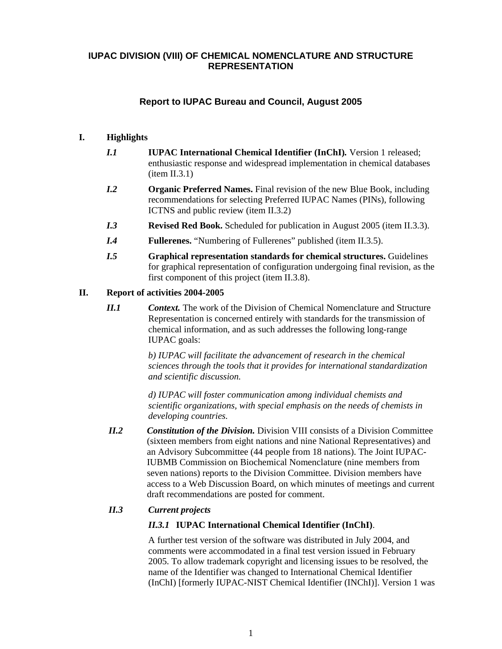# **IUPAC DIVISION (VIII) OF CHEMICAL NOMENCLATURE AND STRUCTURE REPRESENTATION**

# **Report to IUPAC Bureau and Council, August 2005**

## **I. Highlights**

- *I.1* **IUPAC International Chemical Identifier (InChI)***.* Version 1 released; enthusiastic response and widespread implementation in chemical databases  $(item II.3.1)$
- *I.2* **Organic Preferred Names.** Final revision of the new Blue Book, including recommendations for selecting Preferred IUPAC Names (PINs), following ICTNS and public review (item II.3.2)
- *I.3* **Revised Red Book.** Scheduled for publication in August 2005 (item II.3.3).
- *I.4* **Fullerenes.** "Numbering of Fullerenes" published (item II.3.5).
- *I.5* **Graphical representation standards for chemical structures.** Guidelines for graphical representation of configuration undergoing final revision, as the first component of this project (item II.3.8).

## **II. Report of activities 2004-2005**

*II.1* Context. The work of the Division of Chemical Nomenclature and Structure Representation is concerned entirely with standards for the transmission of chemical information, and as such addresses the following long-range IUPAC goals:

> *b) IUPAC will facilitate the advancement of research in the chemical sciences through the tools that it provides for international standardization and scientific discussion.*

*d) IUPAC will foster communication among individual chemists and scientific organizations, with special emphasis on the needs of chemists in developing countries.*

*II.2 Constitution of the Division.* Division VIII consists of a Division Committee (sixteen members from eight nations and nine National Representatives) and an Advisory Subcommittee (44 people from 18 nations). The Joint IUPAC-IUBMB Commission on Biochemical Nomenclature (nine members from seven nations) reports to the Division Committee. Division members have access to a Web Discussion Board, on which minutes of meetings and current draft recommendations are posted for comment.

# *II.3 Current projects*

# *II.3.1* **IUPAC International Chemical Identifier (InChI)**.

A further test version of the software was distributed in July 2004, and comments were accommodated in a final test version issued in February 2005. To allow trademark copyright and licensing issues to be resolved, the name of the Identifier was changed to International Chemical Identifier (InChI) [formerly IUPAC-NIST Chemical Identifier (INChI)]. Version 1 was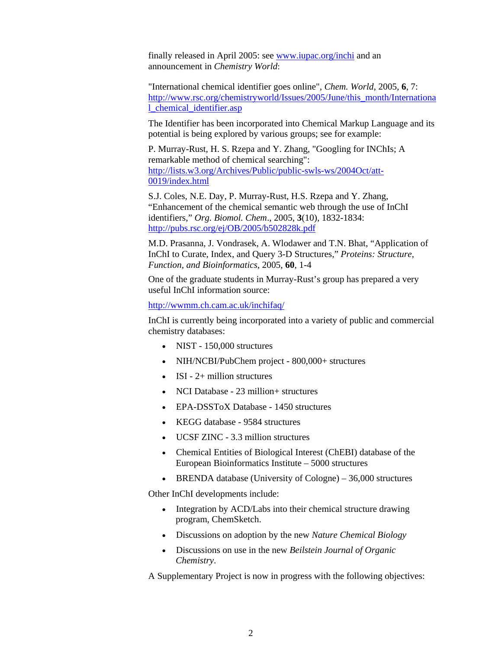finally released in April 2005: see www.iupac.org/inchi and an announcement in *Chemistry World*:

"International chemical identifier goes online", *Chem. World*, 2005, **6**, 7: http://www.rsc.org/chemistryworld/Issues/2005/June/this\_month/Internationa l\_chemical\_identifier.asp

The Identifier has been incorporated into Chemical Markup Language and its potential is being explored by various groups; see for example:

P. Murray-Rust, H. S. Rzepa and Y. Zhang, "Googling for INChIs; A remarkable method of chemical searching": http://lists.w3.org/Archives/Public/public-swls-ws/2004Oct/att-0019/index.html

S.J. Coles, N.E. Day, P. Murray-Rust, H.S. Rzepa and Y. Zhang, "Enhancement of the chemical semantic web through the use of InChI identifiers," *Org. Biomol. Chem*., 2005, **3**(10), 1832-1834: http://pubs.rsc.org/ej/OB/2005/b502828k.pdf

M.D. Prasanna, J. Vondrasek, A. Wlodawer and T.N. Bhat, "Application of InChI to Curate, Index, and Query 3-D Structures," *Proteins: Structure, Function, and Bioinformatics*, 2005, **60**, 1-4

One of the graduate students in Murray-Rust's group has prepared a very useful InChI information source:

http://wwmm.ch.cam.ac.uk/inchifaq/

InChI is currently being incorporated into a variety of public and commercial chemistry databases:

- NIST 150,000 structures
- NIH/NCBI/PubChem project 800,000+ structures
- ISI  $2+$  million structures
- NCI Database 23 million + structures
- EPA-DSSToX Database 1450 structures
- KEGG database 9584 structures
- UCSF ZINC 3.3 million structures
- Chemical Entities of Biological Interest (ChEBI) database of the European Bioinformatics Institute – 5000 structures
- BRENDA database (University of Cologne) 36,000 structures

Other InChI developments include:

- Integration by ACD/Labs into their chemical structure drawing program, ChemSketch.
- Discussions on adoption by the new *Nature Chemical Biology*
- Discussions on use in the new *Beilstein Journal of Organic Chemistry*.

A Supplementary Project is now in progress with the following objectives: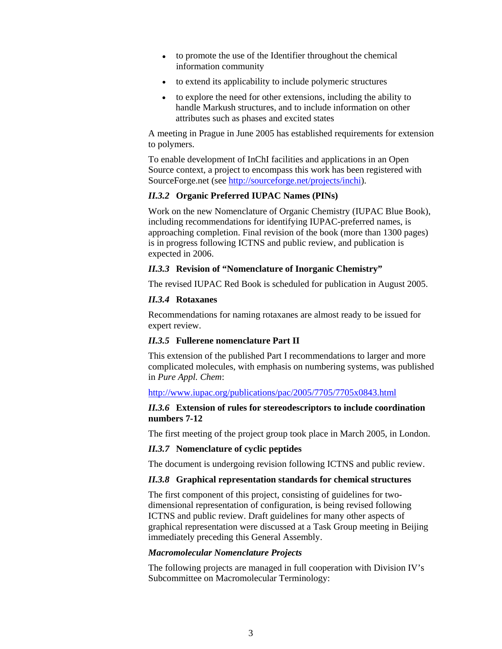- to promote the use of the Identifier throughout the chemical information community
- to extend its applicability to include polymeric structures
- to explore the need for other extensions, including the ability to handle Markush structures, and to include information on other attributes such as phases and excited states

A meeting in Prague in June 2005 has established requirements for extension to polymers.

To enable development of InChI facilities and applications in an Open Source context, a project to encompass this work has been registered with SourceForge.net (see http://sourceforge.net/projects/inchi).

#### *II.3.2* **Organic Preferred IUPAC Names (PINs)**

Work on the new Nomenclature of Organic Chemistry (IUPAC Blue Book), including recommendations for identifying IUPAC-preferred names, is approaching completion. Final revision of the book (more than 1300 pages) is in progress following ICTNS and public review, and publication is expected in 2006.

#### *II.3.3* **Revision of "Nomenclature of Inorganic Chemistry"**

The revised IUPAC Red Book is scheduled for publication in August 2005.

### *II.3.4* **Rotaxanes**

Recommendations for naming rotaxanes are almost ready to be issued for expert review.

### *II.3.5* **Fullerene nomenclature Part II**

This extension of the published Part I recommendations to larger and more complicated molecules, with emphasis on numbering systems, was published in *Pure Appl. Chem*:

### http://www.iupac.org/publications/pac/2005/7705/7705x0843.html

### *II.3.6* **Extension of rules for stereodescriptors to include coordination numbers 7-12**

The first meeting of the project group took place in March 2005, in London.

### *II.3.7* **Nomenclature of cyclic peptides**

The document is undergoing revision following ICTNS and public review.

### *II.3.8* **Graphical representation standards for chemical structures**

The first component of this project, consisting of guidelines for twodimensional representation of configuration, is being revised following ICTNS and public review. Draft guidelines for many other aspects of graphical representation were discussed at a Task Group meeting in Beijing immediately preceding this General Assembly.

#### *Macromolecular Nomenclature Projects*

The following projects are managed in full cooperation with Division IV's Subcommittee on Macromolecular Terminology: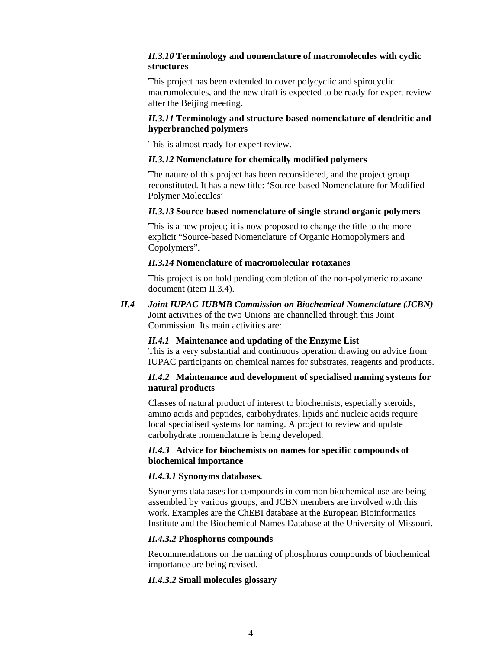### *II.3.10* **Terminology and nomenclature of macromolecules with cyclic structures**

This project has been extended to cover polycyclic and spirocyclic macromolecules, and the new draft is expected to be ready for expert review after the Beijing meeting.

## *II.3.11* **Terminology and structure-based nomenclature of dendritic and hyperbranched polymers**

This is almost ready for expert review.

### *II.3.12* **Nomenclature for chemically modified polymers**

The nature of this project has been reconsidered, and the project group reconstituted. It has a new title: 'Source-based Nomenclature for Modified Polymer Molecules'

### *II.3.13* **Source-based nomenclature of single-strand organic polymers**

This is a new project; it is now proposed to change the title to the more explicit "Source-based Nomenclature of Organic Homopolymers and Copolymers".

### *II.3.14* **Nomenclature of macromolecular rotaxanes**

This project is on hold pending completion of the non-polymeric rotaxane document (item II.3.4).

*II.4 Joint IUPAC-IUBMB Commission on Biochemical Nomenclature (JCBN)*  Joint activities of the two Unions are channelled through this Joint Commission. Its main activities are:

### *II.4.1* **Maintenance and updating of the Enzyme List**

This is a very substantial and continuous operation drawing on advice from IUPAC participants on chemical names for substrates, reagents and products.

### *II.4.2* **Maintenance and development of specialised naming systems for natural products**

Classes of natural product of interest to biochemists, especially steroids, amino acids and peptides, carbohydrates, lipids and nucleic acids require local specialised systems for naming. A project to review and update carbohydrate nomenclature is being developed.

## *II.4.3* **Advice for biochemists on names for specific compounds of biochemical importance**

### *II.4.3.1* **Synonyms databases***.*

Synonyms databases for compounds in common biochemical use are being assembled by various groups, and JCBN members are involved with this work. Examples are the ChEBI database at the European Bioinformatics Institute and the Biochemical Names Database at the University of Missouri.

### *II.4.3.2* **Phosphorus compounds**

Recommendations on the naming of phosphorus compounds of biochemical importance are being revised.

### *II.4.3.2* **Small molecules glossary**